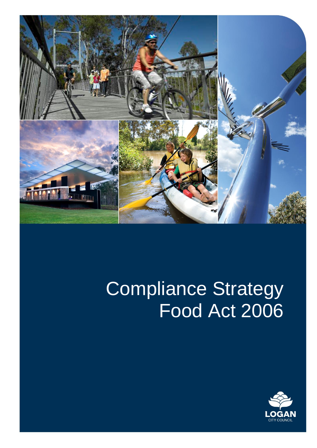

# Compliance Strategy Food Act 2006

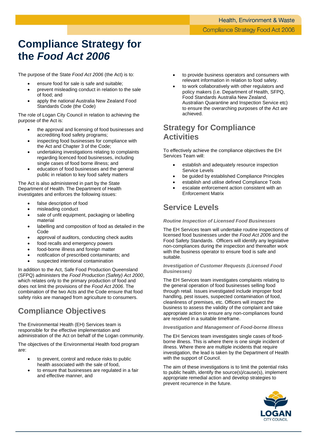## **Compliance Strategy for the** *Food Act 2006*

The purpose of the State *Food Act 2006* (the Act) is to:

- ensure food for sale is safe and suitable;
- prevent misleading conduct in relation to the sale of food; and
- apply the national Australia New Zealand Food Standards Code (the Code)

The role of Logan City Council in relation to achieving the purpose of the Act is:

- the approval and licensing of food businesses and accrediting food safety programs;
- inspecting food businesses for compliance with the Act and Chapter 3 of the Code;
- undertaking investigations relating to complaints regarding licenced food businesses, including single cases of food borne illness; and
- education of food businesses and the general public in relation to key food safety matters

The Act is also administered in part by the State Department of Health. The Department of Health investigates and enforces the following issues:

- false description of food
- misleading conduct
- sale of unfit equipment, packaging or labelling material
- labelling and composition of food as detailed in the Code
- approval of auditors, conducting check audits
- food recalls and emergency powers
- food-borne illness and foreign matter
- notification of prescribed contaminants; and
- suspected intentional contamination

In addition to the Act, Safe Food Production Queensland (SFPQ) administers the *Food Production (Safety) Act 2000*, which relates only to the primary production of food and does not limit the provisions of the *Food Act 2006*. The combination of the two Acts and the Code ensure that food safety risks are managed from agriculture to consumers.

### **Compliance Objectives**

The Environmental Health (EH) Services team is responsible for the effective implementation and administration of the Act on behalf of the Logan community.

The objectives of the Environmental Health food program are:

- to prevent, control and reduce risks to public health associated with the sale of food,
- to ensure that businesses are regulated in a fair and effective manner, and
- to provide business operators and consumers with relevant information in relation to food safety.
- to work collaboratively with other regulators and policy makers (i.e. Department of Health, SFPQ, Food Standards Australia New Zealand, Australian Quarantine and Inspection Service etc) to ensure the overarching purposes of the Act are achieved.

### **Strategy for Compliance Activities**

To effectively achieve the compliance objectives the EH Services Team will:

- establish and adequately resource inspection Service Levels
- be quided by established Compliance Principles
- establish and utilise defined Compliance Tools
- escalate enforcement action consistent with an Enforcement Matrix

### **Service Levels**

#### *Routine Inspection of Licensed Food Businesses*

The EH Services team will undertake routine inspections of licensed food businesses under the *Food Act 2006* and the Food Safety Standards. Officers will identify any legislative non-compliances during the inspection and thereafter work with the business operator to ensure food is safe and suitable.

#### *Investigation of Customer Requests (Licensed Food Businesses)*

The EH Services team investigates complaints relating to the general operation of food businesses selling food through retail. Issues investigated include improper food handling, pest issues, suspected contamination of food, cleanliness of premises, etc. Officers will inspect the business to assess the validity of the complaint and take appropriate action to ensure any non-compliances found are resolved in a suitable timeframe.

#### *Investigation and Management of Food-borne Illness*

The EH Services team investigates single cases of foodborne illness. This is where there is one single incident of illness. Where there are multiple incidents that require investigation, the lead is taken by the Department of Health with the support of Council.

The aim of these investigations is to limit the potential risks to public health, identify the source(s)/cause(s), implement appropriate remedial action and develop strategies to prevent recurrence in the future.

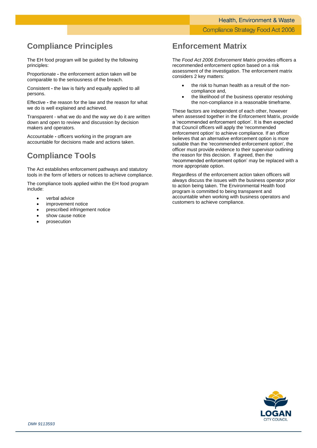### **Compliance Principles**

The EH food program will be guided by the following principles:

Proportionate **-** the enforcement action taken will be comparable to the seriousness of the breach.

Consistent **-** the law is fairly and equally applied to all persons.

Effective **-** the reason for the law and the reason for what we do is well explained and achieved.

Transparent - what we do and the way we do it are written down and open to review and discussion by decision makers and operators.

Accountable **-** officers working in the program are accountable for decisions made and actions taken.

### **Compliance Tools**

The Act establishes enforcement pathways and statutory tools in the form of letters or notices to achieve compliance.

The compliance tools applied within the EH food program include:

- verbal advice
- improvement notice
- prescribed infringement notice
- show cause notice
- prosecution

### **Enforcement Matrix**

The *Food Act 2006 Enforcement Matrix* provides officers a recommended enforcement option based on a risk assessment of the investigation. The enforcement matrix considers 2 key matters:

- the risk to human health as a result of the noncompliance and,
- the likelihood of the business operator resolving the non-compliance in a reasonable timeframe.

These factors are independent of each other, however when assessed together in the Enforcement Matrix, provide a 'recommended enforcement option'. It is then expected that Council officers will apply the 'recommended enforcement option' to achieve compliance. If an officer believes that an alternative enforcement option is more suitable than the 'recommended enforcement option', the officer must provide evidence to their supervisor outlining the reason for this decision. If agreed, then the 'recommended enforcement option' may be replaced with a more appropriate option.

Regardless of the enforcement action taken officers will always discuss the issues with the business operator prior to action being taken. The Environmental Health food program is committed to being transparent and accountable when working with business operators and customers to achieve compliance.

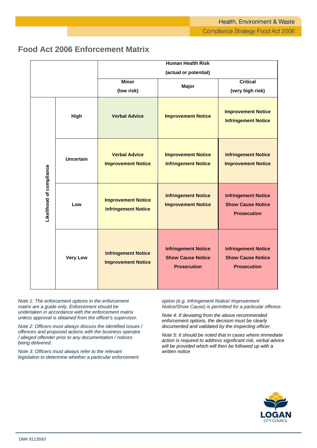|                          |                  | <b>Human Health Risk</b>                                |                                                                              |                                                                              |
|--------------------------|------------------|---------------------------------------------------------|------------------------------------------------------------------------------|------------------------------------------------------------------------------|
|                          |                  | (actual or potential)                                   |                                                                              |                                                                              |
|                          |                  | <b>Minor</b><br>(low risk)                              | Major                                                                        | <b>Critical</b><br>(very high risk)                                          |
| Likelihood of compliance | High             | <b>Verbal Advice</b>                                    | <b>Improvement Notice</b>                                                    | <b>Improvement Notice</b><br><b>Infringement Notice</b>                      |
|                          | <b>Uncertain</b> | <b>Verbal Advice</b><br><b>Improvement Notice</b>       | <b>Improvement Notice</b><br><b>Infringement Notice</b>                      | <b>Infringement Notice</b><br><b>Improvement Notice</b>                      |
|                          | Low              | <b>Improvement Notice</b><br><b>Infringement Notice</b> | <b>Infringement Notice</b><br><b>Improvement Notice</b>                      | <b>Infringement Notice</b><br><b>Show Cause Notice</b><br><b>Prosecution</b> |
|                          | <b>Very Low</b>  | <b>Infringement Notice</b><br><b>Improvement Notice</b> | <b>Infringement Notice</b><br><b>Show Cause Notice</b><br><b>Prosecution</b> | <b>Infringement Notice</b><br><b>Show Cause Notice</b><br><b>Prosecution</b> |

### **Food Act 2006 Enforcement Matrix**

*Note 1: The enforcement options in the enforcement matrix are a guide only. Enforcement should be undertaken in accordance with the enforcement matrix unless approval is obtained from the officer's supervisor.*

*Note 2: Officers must always discuss the identified issues / offences and proposed actions with the business operator / alleged offender prior to any documentation / notices being delivered.*

*Note 3: Officers must always refer to the relevant legislation to determine whether a particular enforcement*  *option (e.g. Infringement Notice/ Improvement Notice/Show Cause) is permitted for a particular offence.*

*Note 4: If deviating from the above recommended enforcement options, the decision must be clearly documented and validated by the inspecting officer.*

*Note 5: It should be noted that in cases where immediate action is required to address significant risk, verbal advice will be provided which will then be followed up with a written notice*

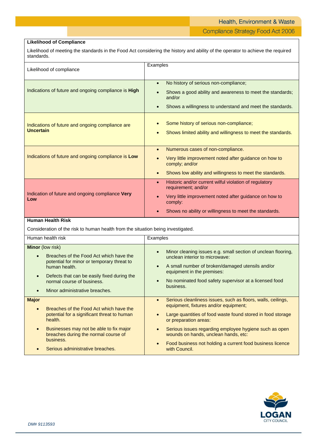Health, Environment & Waste **Compliance Strategy Food Act 2006** 

#### **Likelihood of Compliance**

Likelihood of meeting the standards in the Food Act considering the history and ability of the operator to achieve the required standards.

| Likelihood of compliance                                             | Examples                                                                                                                                                                                                                               |
|----------------------------------------------------------------------|----------------------------------------------------------------------------------------------------------------------------------------------------------------------------------------------------------------------------------------|
| Indications of future and ongoing compliance is <b>High</b>          | No history of serious non-compliance;<br>$\bullet$<br>Shows a good ability and awareness to meet the standards;<br>and/or<br>Shows a willingness to understand and meet the standards.                                                 |
| Indications of future and ongoing compliance are<br><b>Uncertain</b> | Some history of serious non-compliance;<br>Shows limited ability and willingness to meet the standards.                                                                                                                                |
| Indications of future and ongoing compliance is Low                  | Numerous cases of non-compliance.<br>$\bullet$<br>Very little improvement noted after guidance on how to<br>comply; and/or<br>Shows low ability and willingness to meet the standards.<br>$\bullet$                                    |
| Indication of future and ongoing compliance Very<br>Low              | Historic and/or current wilful violation of regulatory<br>$\bullet$<br>requirement; and/or<br>Very little improvement noted after guidance on how to<br>comply:<br>Shows no ability or willingness to meet the standards.<br>$\bullet$ |

#### **Human Health Risk**

Consideration of the risk to human health from the situation being investigated.

| Human health risk                                                                                                                                                                                                                                                               | Examples                                                                                                                                                                                                                                                                                                                                                                                                             |
|---------------------------------------------------------------------------------------------------------------------------------------------------------------------------------------------------------------------------------------------------------------------------------|----------------------------------------------------------------------------------------------------------------------------------------------------------------------------------------------------------------------------------------------------------------------------------------------------------------------------------------------------------------------------------------------------------------------|
| <b>Minor</b> (low risk)<br>Breaches of the Food Act which have the<br>potential for minor or temporary threat to<br>human health.<br>Defects that can be easily fixed during the<br>$\bullet$<br>normal course of business.<br>Minor administrative breaches.<br>$\bullet$      | Minor cleaning issues e.g. small section of unclean flooring,<br>$\bullet$<br>unclean interior to microwave:<br>A small number of broken/damaged utensils and/or<br>$\bullet$<br>equipment in the premises:<br>No nominated food safety supervisor at a licensed food<br>$\bullet$<br>business.                                                                                                                      |
| <b>Major</b><br>Breaches of the Food Act which have the<br>$\bullet$<br>potential for a significant threat to human<br>health.<br>Businesses may not be able to fix major<br>$\bullet$<br>breaches during the normal course of<br>business.<br>Serious administrative breaches. | Serious cleanliness issues, such as floors, walls, ceilings,<br>$\bullet$<br>equipment, fixtures and/or equipment;<br>Large quantities of food waste found stored in food storage<br>or preparation areas:<br>Serious issues regarding employee hygiene such as open<br>$\bullet$<br>wounds on hands, unclean hands, etc:<br>Food business not holding a current food business licence<br>$\bullet$<br>with Council. |